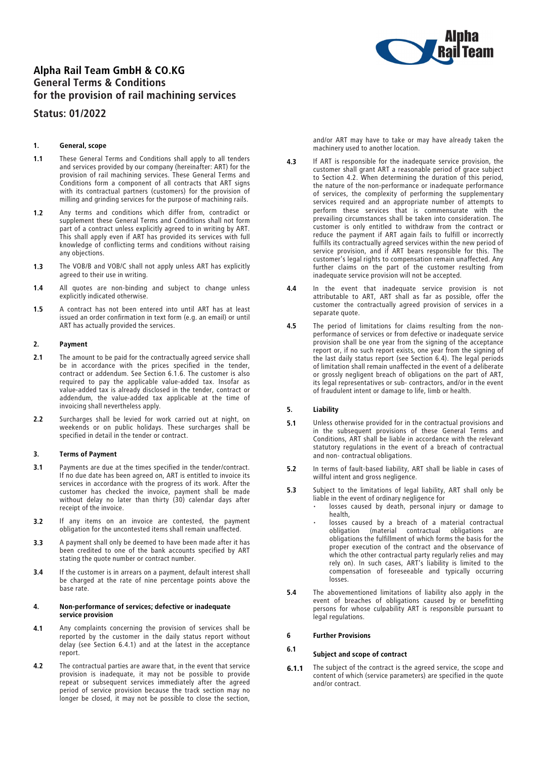

# Alpha Rail Team GmbH & CO.KG General Terms & Conditions for the provision of rail machining services

# Status: 01/2022

## 1. General, scope

- 1.1 These General Terms and Conditions shall apply to all tenders and services provided by our company (hereinafter: ART) for the provision of rail machining services. These General Terms and Conditions form a component of all contracts that ART signs with its contractual partners (customers) for the provision of milling and grinding services for the purpose of machining rails.
- 1.2 Any terms and conditions which differ from, contradict or supplement these General Terms and Conditions shall not form part of a contract unless explicitly agreed to in writing by ART. This shall apply even if ART has provided its services with full knowledge of conflicting terms and conditions without raising any objections.
- 1.3 The VOB/B and VOB/C shall not apply unless ART has explicitly agreed to their use in writing.
- 1.4 All quotes are non-binding and subject to change unless explicitly indicated otherwise.
- 1.5 A contract has not been entered into until ART has at least issued an order confirmation in text form (e.g. an email) or until ART has actually provided the services.

#### 2. Payment

- 2.1 The amount to be paid for the contractually agreed service shall be in accordance with the prices specified in the tender, contract or addendum. See Section 6.1.6. The customer is also required to pay the applicable value-added tax. Insofar as value-added tax is already disclosed in the tender, contract or addendum, the value-added tax applicable at the time of invoicing shall nevertheless apply.
- 2.2 Surcharges shall be levied for work carried out at night, on weekends or on public holidays. These surcharges shall be specified in detail in the tender or contract.

#### 3. Terms of Payment

- 3.1 Payments are due at the times specified in the tender/contract. If no due date has been agreed on, ART is entitled to invoice its services in accordance with the progress of its work. After the customer has checked the invoice, payment shall be made without delay no later than thirty (30) calendar days after receipt of the invoice.
- **3.2** If any items on an invoice are contested, the payment obligation for the uncontested items shall remain unaffected.
- 3.3 A payment shall only be deemed to have been made after it has been credited to one of the bank accounts specified by ART stating the quote number or contract number.
- 3.4 If the customer is in arrears on a payment, default interest shall be charged at the rate of nine percentage points above the base rate.

#### 4. Non-performance of services; defective or inadequate service provision

- 4.1 Any complaints concerning the provision of services shall be reported by the customer in the daily status report without delay (see Section 6.4.1) and at the latest in the acceptance report.
- 4.2 The contractual parties are aware that, in the event that service provision is inadequate, it may not be possible to provide repeat or subsequent services immediately after the agreed period of service provision because the track section may no longer be closed, it may not be possible to close the section,

and/or ART may have to take or may have already taken the machinery used to another location.

- 4.3 If ART is responsible for the inadequate service provision, the customer shall grant ART a reasonable period of grace subject<br>to Section 4.2. When determining the duration of this period, to Section 4.2. When determining the duration of this period, the nature of the non-performance or inadequate performance of services, the complexity of performing the supplementary services required and an appropriate number of attempts to perform these services that is commensurate with the prevailing circumstances shall be taken into consideration. The customer is only entitled to withdraw from the contract or customer is only entitled to withdraw from the contract or reduce the payment if ART again fails to fulfill or incorrectly fulfills its contractually agreed services within the new period of service provision, and if ART bears responsible for this. The<br>customer's legal rights to compensation remain unaffected. Any customer's legal rights to compensation remain unaffected. Any further claims on the part of the customer resulting from inadequate service provision will not be accepted.
- 4.4 In the event that inadequate service provision is not attributable to ART, ART shall as far as possible, offer the customer the contractually agreed provision of services in a separate quote.
- 4.5 The period of limitations for claims resulting from the nonperformance of services or from defective or inadequate service provision shall be one year from the signing of the acceptance report or, if no such report exists, one year from the signing of the last daily status report (see Section 6.4). The legal periods of limitation shall remain unaffected in the event of a deliberate or grossly negligent breach of obligations on the part of ART, its legal representatives or sub- contractors, and/or in the event of fraudulent intent or damage to life, limb or health.

## 5. Liability

- **5.1** Unless otherwise provided for in the contractual provisions and in the subsequent provisions of these General Terms and in the subsequent provisions of these General Terms and Conditions, ART shall be liable in accordance with the relevant statutory regulations in the event of a breach of contractual and non- contractual obligations.
- 5.2 In terms of fault-based liability, ART shall be liable in cases of willful intent and gross negligence.
- 5.3 Subject to the limitations of legal liability, ART shall only be liable in the event of ordinary negligence for
	- losses caused by death, personal injury or damage to health,
	- losses caused by a breach of a material contractual<br>obligation (material contractual obligations are of  $\frac{1}{2}$  of  $\frac{1}{2}$  contractual obligations are obligations the fulfillment of which forms the basis for the proper execution of the contract and the observance of which the other contractual party regularly relies and may rely on). In such cases, ART's liability is limited to the compensation of foreseeable and typically occurring losses.
- 5.4 The abovementioned limitations of liability also apply in the event of breaches of obligations caused by or benefitting persons for whose culpability ART is responsible pursuant to legal regulations.

### 6 Further Provisions

# 6.1 Subject and scope of contract

**6.1.1** The subject of the contract is the agreed service, the scope and content of which (service parameters) are specified in the quote and/or contract.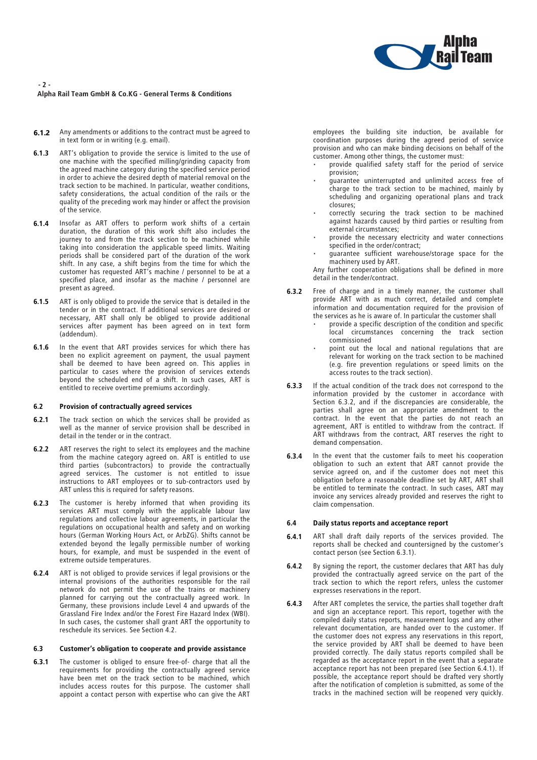

## - 2 - Alpha Rail Team GmbH & Co.KG - General Terms & Conditions

- **6.1.2** Any amendments or additions to the contract must be agreed to in text form or in writing (e.g. email).
- 6.1.3 ART's obligation to provide the service is limited to the use of one machine with the specified milling/grinding capacity from the agreed machine category during the specified service period in order to achieve the desired depth of material removal on the track section to be machined. In particular, weather conditions, track section to be machined. In particular, weather conditions, safety considerations, the actual condition of the rails or the quality of the preceding work may hinder or affect the provision of the service.
- 6.1.4 Insofar as ART offers to perform work shifts of a certain duration, the duration of this work shift also includes the journey to and from the track section to be machined while taking into consideration the applicable speed limits. Waiting periods shall be considered part of the duration of the work shift. In any case, a shift begins from the time for which the customer has requested ART's machine / personnel to be at a specified place, and insofar as the machine / personnel are present as agreed.
- 6.1.5 ART is only obliged to provide the service that is detailed in the tender or in the contract. If additional services are desired or necessary, ART shall only be obliged to provide additional services after payment has been agreed on in text form (addendum).
- 6.1.6 In the event that ART provides services for which there has been no explicit agreement on payment, the usual payment shall be deemed to have been agreed on. This applies in particular to cases where the provision of services extends beyond the scheduled end of a shift. In such cases, ART is entitled to receive overtime premiums accordingly.

#### 6.2 Provision of contractually agreed services

- 6.2.1 The track section on which the services shall be provided as well as the manner of service provision shall be described in detail in the tender or in the contract.
- **6.2.2** ART reserves the right to select its employees and the machine from the machine category agreed on. ART is entitled to use third parties (subcontractors) to provide the contractually agreed services. The customer is not entitled to issue instructions to ART employees or to sub-contractors used by ART unless this is required for safety reasons.
- **6.2.3** The customer is hereby informed that when providing its services ART must comply with the applicable labour law regulations and collective labour agreements, in particular the regulations on occupational health and safety and on working hours (German Working Hours Act, or ArbZG). Shifts cannot be extended beyond the legally permissible number of working hours, for example, and must be suspended in the event of extreme outside temperatures.
- 6.2.4 ART is not obliged to provide services if legal provisions or the internal provisions of the authorities responsible for the rail network do not permit the use of the trains or machinery planned for carrying out the contractually agreed work. In Germany, these provisions include Level 4 and upwards of the Grassland Fire Index and/or the Forest Fire Hazard Index (WBI). In such cases, the customer shall grant ART the opportunity to reschedule its services. See Section 4.2.

## 6.3 Customer's obligation to cooperate and provide assistance

**6.3.1** The customer is obliged to ensure free-of- charge that all the requirements for providing the contractually agreed service have been met on the track section to be machined, which includes access routes for this purpose. The customer shall appoint a contact person with expertise who can give the ART

employees the building site induction, be available for coordination purposes during the agreed period of service provision and who can make binding decisions on behalf of the customer. Among other things, the customer must:

- provide qualified safety staff for the period of service provision;
- guarantee uninterrupted and unlimited access free of charge to the track section to be machined, mainly by scheduling and organizing operational plans and track closures;
- correctly securing the track section to be machined against hazards caused by third parties or resulting from external circumstances;
- provide the necessary electricity and water connections specified in the order/contract;
- guarantee sufficient warehouse/storage space for the machinery used by ART.

Any further cooperation obligations shall be defined in more detail in the tender/contract.

- **6.3.2** Free of charge and in a timely manner, the customer shall provide ART with as much correct, detailed and complete information and documentation required for the provision of the services as he is aware of. In particular the customer shall
	- provide a specific description of the condition and specific local circumstances concerning the track section commissioned
	- point out the local and national regulations that are relevant for working on the track section to be machined (e.g. fire prevention regulations or speed limits on the access routes to the track section).
- **6.3.3** If the actual condition of the track does not correspond to the information provided by the customer in accordance with Section 6.3.2, and if the discrepancies are considerable, the parties shall agree on an appropriate amendment to the contract. In the event that the parties do not reach an agreement, ART is entitled to withdraw from the contract. If ART withdraws from the contract, ART reserves the right to demand compensation.
- **6.3.4** In the event that the customer fails to meet his cooperation obligation to such an extent that ART cannot provide the service agreed on, and if the customer does not meet this obligation before a reasonable deadline set by ART, ART shall be entitled to terminate the contract. In such cases, ART may invoice any services already provided and reserves the right to claim compensation.

#### 6.4 Daily status reports and acceptance report

- 6.4.1 ART shall draft daily reports of the services provided. The reports shall be checked and countersigned by the customer's contact person (see Section 6.3.1).
- **6.4.2** By signing the report, the customer declares that ART has duly provided the contractually agreed service on the part of the track section to which the report refers, unless the customer expresses reservations in the report.
- 6.4.3 After ART completes the service, the parties shall together draft and sign an acceptance report. This report, together with the compiled daily status reports, measurement logs and any other relevant documentation, are handed over to the customer. If the customer does not express any reservations in this report, the service provided by ART shall be deemed to have been provided correctly. The daily status reports compiled shall be regarded as the acceptance report in the event that a separate acceptance report has not been prepared (see Section 6.4.1). If possible, the acceptance report should be drafted very shortly after the notification of completion is submitted, as some of the tracks in the machined section will be reopened very quickly.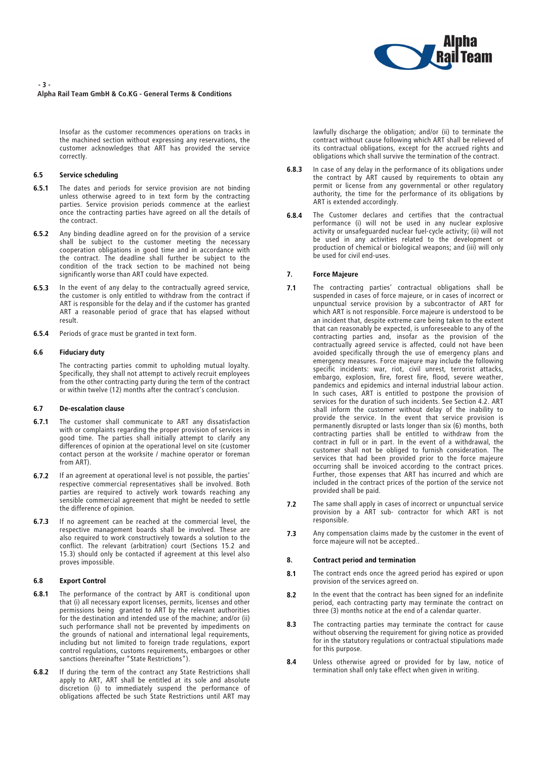

#### - 3 - Alpha Rail Team GmbH & Co.KG - General Terms & Conditions

Insofar as the customer recommences operations on tracks in the machined section without expressing any reservations, the customer acknowledges that ART has provided the service correctly.

## 6.5 Service scheduling

- **6.5.1** The dates and periods for service provision are not binding unless otherwise agreed to in text form by the contracting parties. Service provision periods commence at the earliest once the contracting parties have agreed on all the details of the contract.
- 6.5.2 Any binding deadline agreed on for the provision of a service shall be subject to the customer meeting the necessary cooperation obligations in good time and in accordance with the contract. The deadline shall further be subject to the condition of the track section to be machined not being significantly worse than ART could have expected.
- **6.5.3** In the event of any delay to the contractually agreed service, the customer is only entitled to withdraw from the contract if ART is responsible for the delay and if the customer has granted ART a reasonable period of grace that has elapsed without result.
- 6.5.4 Periods of grace must be granted in text form.

## 6.6 Fiduciary duty

The contracting parties commit to upholding mutual loyalty. Specifically, they shall not attempt to actively recruit employees from the other contracting party during the term of the contract or within twelve (12) months after the contract's conclusion.

### 6.7 De-escalation clause

- 6.7.1 The customer shall communicate to ART any dissatisfaction with or complaints regarding the proper provision of services in good time. The parties shall initially attempt to clarify any differences of opinion at the operational level on site (customer contact person at the worksite / machine operator or foreman from ART).
- 6.7.2 If an agreement at operational level is not possible, the parties' respective commercial representatives shall be involved. Both parties are required to actively work towards reaching any sensible commercial agreement that might be needed to settle the difference of opinion.
- 6.7.3 If no agreement can be reached at the commercial level, the respective management boards shall be involved. These are also required to work constructively towards a solution to the conflict. The relevant (arbitration) court (Sections 15.2 and 15.3) should only be contacted if agreement at this level also proves impossible.

#### 6.8 Export Control

- 6.8.1 The performance of the contract by ART is conditional upon that (i) all necessary export licenses, permits, licenses and other permissions being granted to ART by the relevant authorities for the destination and intended use of the machine; and/or (ii) such performance shall not be prevented by impediments on the grounds of national and international legal requirements, including but not limited to foreign trade regulations, export control regulations, customs requirements, embargoes or other sanctions (hereinafter "State Restrictions").
- **6.8.2** If during the term of the contract any State Restrictions shall apply to ART, ART shall be entitled at its sole and absolute discretion (i) to immediately suspend the performance of obligations affected be such State Restrictions until ART may

lawfully discharge the obligation; and/or (ii) to terminate the contract without cause following which ART shall be relieved of its contractual obligations, except for the accrued rights and obligations which shall survive the termination of the contract.

- **6.8.3** In case of any delay in the performance of its obligations under the contract by ART caused by requirements to obtain any the contract by ART caused by requirements to obtain any permit or license from any governmental or other regulatory authority, the time for the performance of its obligations by ART is extended accordingly.
- **6.8.4** The Customer declares and certifies that the contractual performance (i) will not be used in any nuclear explosive activity or unsafeguarded nuclear fuel-cycle activity; (ii) will not be used in any activities related to the development or production of chemical or biological weapons; and (iii) will only be used for civil end-uses.

## 7. Force Majeure

- 7.1 The contracting parties' contractual obligations shall be suspended in cases of force majeure, or in cases of incorrect or unpunctual service provision by a subcontractor of ART for which ART is not responsible. Force majeure is understood to be an incident that, despite extreme care being taken to the extent that can reasonably be expected, is unforeseeable to any of the contracting parties and, insofar as the provision of the contractually agreed service is affected, could not have been avoided specifically through the use of emergency plans and emergency measures. Force majeure may include the following specific incidents: war, riot, civil unrest, terrorist attacks, embargo, explosion, fire, forest fire, flood, severe weather, pandemics and epidemics and internal industrial labour action. In such cases, ART is entitled to postpone the provision of services for the duration of such incidents. See Section 4.2. ART shall inform the customer without delay of the inability to provide the service. In the event that service provision is<br>permanently disrupted or lasts longer than six (6) months, both permanently disrupted or lasts longer than six (6) months, both contracting parties shall be entitled to withdraw from the contract in full or in part. In the event of a withdrawal, the customer shall not be obliged to furnish consideration. The services that had been provided prior to the force majeure occurring shall be invoiced according to the contract prices. Further, those expenses that ART has incurred and which are included in the contract prices of the portion of the service not provided shall be paid.
- 7.2 The same shall apply in cases of incorrect or unpunctual service provision by a ART sub- contractor for which ART is not responsible.
- 7.3 Any compensation claims made by the customer in the event of force majeure will not be accepted..

#### 8. Contract period and termination

- 8.1 The contract ends once the agreed period has expired or upon provision of the services agreed on.
- 8.2 In the event that the contract has been signed for an indefinite period, each contracting party may terminate the contract on three (3) months notice at the end of a calendar quarter.
- 8.3 The contracting parties may terminate the contract for cause without observing the requirement for giving notice as provided for in the statutory regulations or contractual stipulations made for this purpose.
- 8.4 Unless otherwise agreed or provided for by law, notice of termination shall only take effect when given in writing.